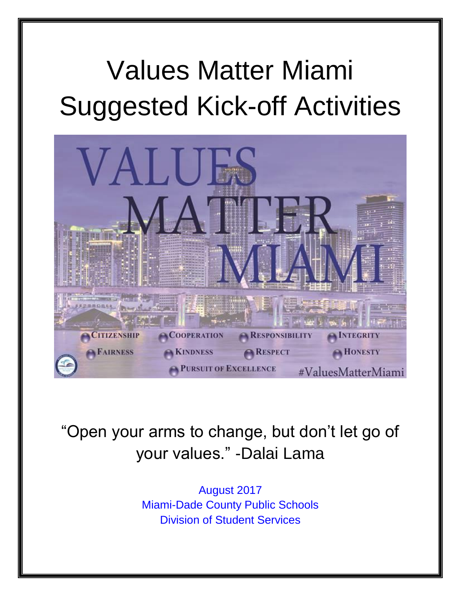## Values Matter Miami Suggested Kick-off Activities



"Open your arms to change, but don't let go of your values." -Dalai Lama

> August 2017 Miami-Dade County Public Schools Division of Student Services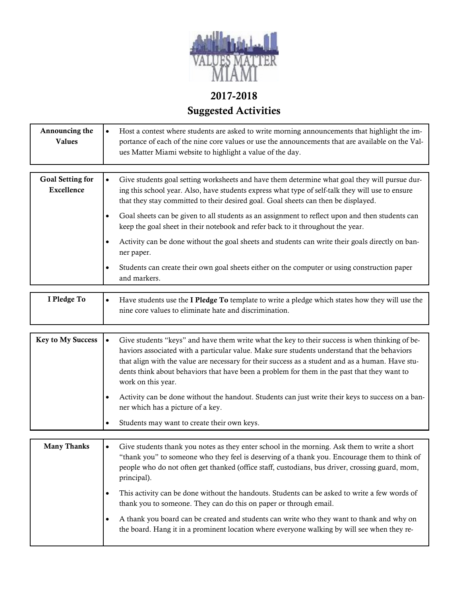

## 2017-2018 Suggested Activities

| Announcing the<br><b>Values</b>              | Host a contest where students are asked to write morning announcements that highlight the im-<br>$\bullet$<br>portance of each of the nine core values or use the announcements that are available on the Val-<br>ues Matter Miami website to highlight a value of the day.                                                                                                                                                          |  |
|----------------------------------------------|--------------------------------------------------------------------------------------------------------------------------------------------------------------------------------------------------------------------------------------------------------------------------------------------------------------------------------------------------------------------------------------------------------------------------------------|--|
|                                              |                                                                                                                                                                                                                                                                                                                                                                                                                                      |  |
| <b>Goal Setting for</b><br><b>Excellence</b> | Give students goal setting worksheets and have them determine what goal they will pursue dur-<br>$\bullet$<br>ing this school year. Also, have students express what type of self-talk they will use to ensure<br>that they stay committed to their desired goal. Goal sheets can then be displayed.                                                                                                                                 |  |
|                                              | Goal sheets can be given to all students as an assignment to reflect upon and then students can<br>$\bullet$<br>keep the goal sheet in their notebook and refer back to it throughout the year.                                                                                                                                                                                                                                      |  |
|                                              | Activity can be done without the goal sheets and students can write their goals directly on ban-<br>$\bullet$<br>ner paper.                                                                                                                                                                                                                                                                                                          |  |
|                                              | Students can create their own goal sheets either on the computer or using construction paper<br>$\bullet$<br>and markers.                                                                                                                                                                                                                                                                                                            |  |
|                                              |                                                                                                                                                                                                                                                                                                                                                                                                                                      |  |
| I Pledge To                                  | Have students use the I Pledge To template to write a pledge which states how they will use the<br>$\bullet$<br>nine core values to eliminate hate and discrimination.                                                                                                                                                                                                                                                               |  |
|                                              |                                                                                                                                                                                                                                                                                                                                                                                                                                      |  |
| <b>Key to My Success</b>                     | Give students "keys" and have them write what the key to their success is when thinking of be-<br>$\bullet$<br>haviors associated with a particular value. Make sure students understand that the behaviors<br>that align with the value are necessary for their success as a student and as a human. Have stu-<br>dents think about behaviors that have been a problem for them in the past that they want to<br>work on this year. |  |
|                                              | Activity can be done without the handout. Students can just write their keys to success on a ban-<br>$\bullet$<br>ner which has a picture of a key.                                                                                                                                                                                                                                                                                  |  |
|                                              | Students may want to create their own keys.<br>$\bullet$                                                                                                                                                                                                                                                                                                                                                                             |  |
|                                              |                                                                                                                                                                                                                                                                                                                                                                                                                                      |  |
| <b>Many Thanks</b>                           | Give students thank you notes as they enter school in the morning. Ask them to write a short<br>$\bullet$<br>"thank you" to someone who they feel is deserving of a thank you. Encourage them to think of<br>people who do not often get thanked (office staff, custodians, bus driver, crossing guard, mom,<br>principal).                                                                                                          |  |
|                                              | This activity can be done without the handouts. Students can be asked to write a few words of<br>$\bullet$<br>thank you to someone. They can do this on paper or through email.                                                                                                                                                                                                                                                      |  |
|                                              | A thank you board can be created and students can write who they want to thank and why on<br>$\bullet$<br>the board. Hang it in a prominent location where everyone walking by will see when they re-                                                                                                                                                                                                                                |  |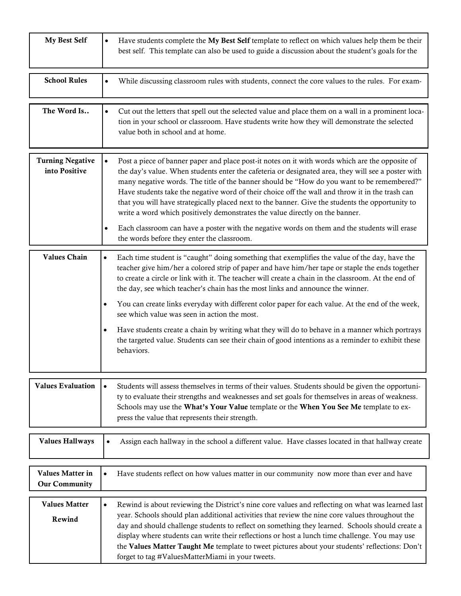| My Best Self                             | Have students complete the My Best Self template to reflect on which values help them be their<br>$\bullet$<br>best self. This template can also be used to guide a discussion about the student's goals for the                                                                                                                                                                                                                                                                                                                                                                                                                                                                                                                                                                   |
|------------------------------------------|------------------------------------------------------------------------------------------------------------------------------------------------------------------------------------------------------------------------------------------------------------------------------------------------------------------------------------------------------------------------------------------------------------------------------------------------------------------------------------------------------------------------------------------------------------------------------------------------------------------------------------------------------------------------------------------------------------------------------------------------------------------------------------|
| <b>School Rules</b>                      | While discussing classroom rules with students, connect the core values to the rules. For exam-<br>$\bullet$                                                                                                                                                                                                                                                                                                                                                                                                                                                                                                                                                                                                                                                                       |
| The Word Is                              | Cut out the letters that spell out the selected value and place them on a wall in a prominent loca-<br>tion in your school or classroom. Have students write how they will demonstrate the selected<br>value both in school and at home.                                                                                                                                                                                                                                                                                                                                                                                                                                                                                                                                           |
| <b>Turning Negative</b><br>into Positive | Post a piece of banner paper and place post-it notes on it with words which are the opposite of<br>$\bullet$<br>the day's value. When students enter the cafeteria or designated area, they will see a poster with<br>many negative words. The title of the banner should be "How do you want to be remembered?"<br>Have students take the negative word of their choice off the wall and throw it in the trash can<br>that you will have strategically placed next to the banner. Give the students the opportunity to<br>write a word which positively demonstrates the value directly on the banner.<br>Each classroom can have a poster with the negative words on them and the students will erase<br>$\bullet$<br>the words before they enter the classroom.                 |
| <b>Values Chain</b>                      | Each time student is "caught" doing something that exemplifies the value of the day, have the<br>٠<br>teacher give him/her a colored strip of paper and have him/her tape or staple the ends together<br>to create a circle or link with it. The teacher will create a chain in the classroom. At the end of<br>the day, see which teacher's chain has the most links and announce the winner.<br>You can create links everyday with different color paper for each value. At the end of the week,<br>٠<br>see which value was seen in action the most.<br>Have students create a chain by writing what they will do to behave in a manner which portrays<br>٠<br>the targeted value. Students can see their chain of good intentions as a reminder to exhibit these<br>behaviors. |
| <b>Values Evaluation</b>                 | Students will assess themselves in terms of their values. Students should be given the opportuni-<br>$\bullet$<br>ty to evaluate their strengths and weaknesses and set goals for themselves in areas of weakness.<br>Schools may use the What's Your Value template or the When You See Me template to ex-<br>press the value that represents their strength.                                                                                                                                                                                                                                                                                                                                                                                                                     |
| <b>Values Hallways</b>                   | Assign each hallway in the school a different value. Have classes located in that hallway create                                                                                                                                                                                                                                                                                                                                                                                                                                                                                                                                                                                                                                                                                   |
| Values Matter in<br><b>Our Community</b> | Have students reflect on how values matter in our community now more than ever and have<br>$\bullet$                                                                                                                                                                                                                                                                                                                                                                                                                                                                                                                                                                                                                                                                               |
| <b>Values Matter</b><br>Rewind           | Rewind is about reviewing the District's nine core values and reflecting on what was learned last<br>$\bullet$<br>year. Schools should plan additional activities that review the nine core values throughout the<br>day and should challenge students to reflect on something they learned. Schools should create a<br>display where students can write their reflections or host a lunch time challenge. You may use<br>the Values Matter Taught Me template to tweet pictures about your students' reflections: Don't<br>forget to tag #ValuesMatterMiami in your tweets.                                                                                                                                                                                                       |